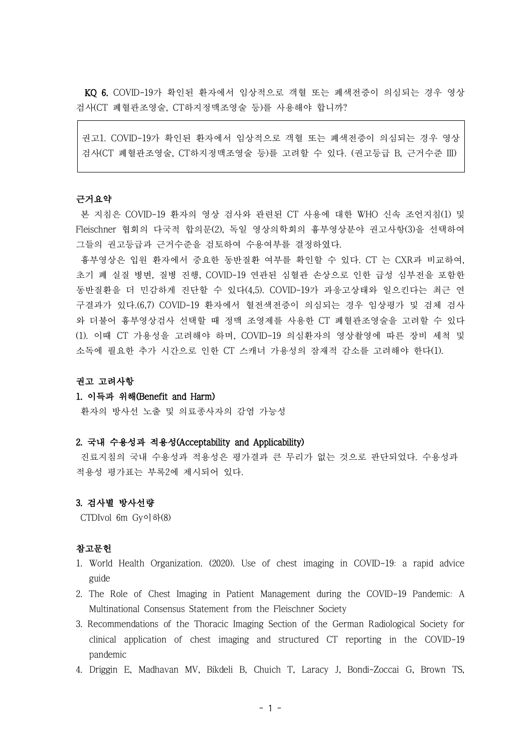KQ 6. COVID-19가 확인된 환자에서 임상적으로 객혈 또는 폐색전증이 의심되는 경우 영상 검사(CT 폐혈관조영술, CT하지정맥조영술 등)를 사용해야 합니까?

권고1. COVID-19가 확인된 환자에서 임상적으로 객혈 또는 폐색전증이 의심되는 경우 영상 검사(CT 폐혈관조영술, CT하지정맥조영술 등)를 고려할 수 있다. (권고등급 B, 근거수준 III)

## 근거요약

본 지침은 COVID-19 환자의 영상 검사와 관련된 CT 사용에 대한 WHO 신속 조언지침(1) 및 Fleischner 협회의 다국적 합의문(2), 독일 영상의학회의 흉부영상분야 권고사항(3)을 선택하여 그들의 권고등급과 근거수준을 검토하여 수용여부를 결정하였다.

흉부영상은 입원 환자에서 중요한 동반질환 여부를 확인할 수 있다. CT 는 CXR과 비교하여, 초기 폐 실질 병변, 질병 진행, COVID-19 연관된 심혈관 손상으로 인한 급성 심부전을 포함한 동반질환을 더 민감하게 진단할 수 있다(4,5). COVID-19가 과응고상태와 일으킨다는 최근 연 구결과가 있다.(6,7) COVID-19 환자에서 혈전색전증이 의심되는 경우 임상평가 및 검체 검사 와 더불어 흉부영상검사 선택할 때 정맥 조영제를 사용한 CT 폐혈관조영술을 고려할 수 있다 (1). 이때 CT 가용성을 고려해야 하며, COVID-19 의심환자의 영상촬영에 따른 장비 세척 및 소독에 필요한 추가 시간으로 인한 CT 스캐너 가용성의 잠재적 감소를 고려해야 한다(1).

#### 권고 고려사항

# 1. 이득과 위해(Benefit and Harm)

환자의 방사선 노출 및 의료종사자의 감염 가능성

#### 2. 국내 수용성과 적용성(Acceptability and Applicability)

진료지침의 국내 수용성과 적용성은 평가결과 큰 무리가 없는 것으로 판단되었다. 수용성과 적용성 평가표는 부록2에 제시되어 있다.

# 3. 검사별 방사선량

CTDIvol 6m Gy이하(8)

## 참고문헌

- 1. World Health Organization. (2020). Use of chest imaging in COVID-19: a rapid advice guide
- 2. The Role of Chest Imaging in Patient Management during the COVID-19 Pandemic: A Multinational Consensus Statement from the Fleischner Society
- 3. Recommendations of the Thoracic Imaging Section of the German Radiological Society for clinical application of chest imaging and structured CT reporting in the COVID-19 pandemic
- 4. Driggin E, Madhavan MV, Bikdeli B, Chuich T, Laracy J, Bondi-Zoccai G, Brown TS,